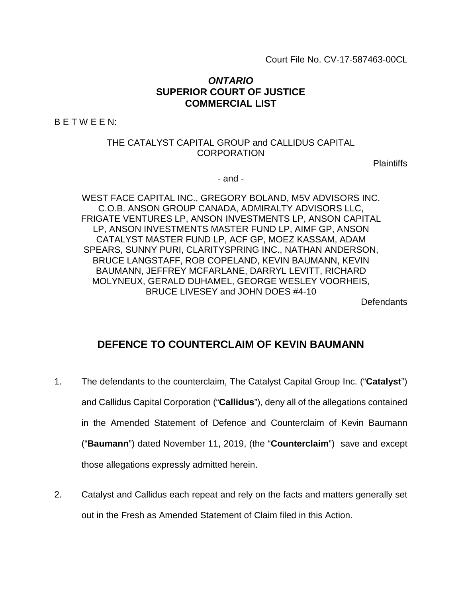Court File No. CV-17-587463-00CL

# *ONTARIO*  **SUPERIOR COURT OF JUSTICE COMMERCIAL LIST**

B E T W E E N:

### THE CATALYST CAPITAL GROUP and CALLIDUS CAPITAL CORPORATION

Plaintiffs

- and -

WEST FACE CAPITAL INC., GREGORY BOLAND, M5V ADVISORS INC. C.O.B. ANSON GROUP CANADA, ADMIRALTY ADVISORS LLC, FRIGATE VENTURES LP, ANSON INVESTMENTS LP, ANSON CAPITAL LP, ANSON INVESTMENTS MASTER FUND LP, AIMF GP, ANSON CATALYST MASTER FUND LP, ACF GP, MOEZ KASSAM, ADAM SPEARS, SUNNY PURI, CLARITYSPRING INC., NATHAN ANDERSON, BRUCE LANGSTAFF, ROB COPELAND, KEVIN BAUMANN, KEVIN BAUMANN, JEFFREY MCFARLANE, DARRYL LEVITT, RICHARD MOLYNEUX, GERALD DUHAMEL, GEORGE WESLEY VOORHEIS, BRUCE LIVESEY and JOHN DOES #4-10

**Defendants** 

# **DEFENCE TO COUNTERCLAIM OF KEVIN BAUMANN**

- 1. The defendants to the counterclaim, The Catalyst Capital Group Inc. ("**Catalyst**") and Callidus Capital Corporation ("**Callidus**"), deny all of the allegations contained in the Amended Statement of Defence and Counterclaim of Kevin Baumann ("**Baumann**") dated November 11, 2019, (the "**Counterclaim**") save and except those allegations expressly admitted herein.
- 2. Catalyst and Callidus each repeat and rely on the facts and matters generally set out in the Fresh as Amended Statement of Claim filed in this Action.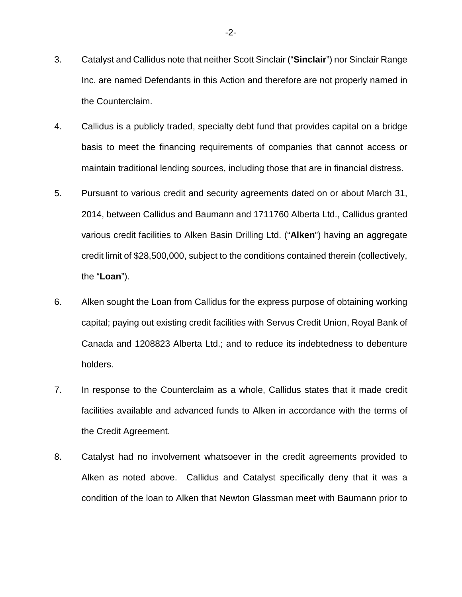- 3. Catalyst and Callidus note that neither Scott Sinclair ("**Sinclair**") nor Sinclair Range Inc. are named Defendants in this Action and therefore are not properly named in the Counterclaim.
- 4. Callidus is a publicly traded, specialty debt fund that provides capital on a bridge basis to meet the financing requirements of companies that cannot access or maintain traditional lending sources, including those that are in financial distress.
- 5. Pursuant to various credit and security agreements dated on or about March 31, 2014, between Callidus and Baumann and 1711760 Alberta Ltd., Callidus granted various credit facilities to Alken Basin Drilling Ltd. ("**Alken**") having an aggregate credit limit of \$28,500,000, subject to the conditions contained therein (collectively, the "**Loan**").
- 6. Alken sought the Loan from Callidus for the express purpose of obtaining working capital; paying out existing credit facilities with Servus Credit Union, Royal Bank of Canada and 1208823 Alberta Ltd.; and to reduce its indebtedness to debenture holders.
- 7. In response to the Counterclaim as a whole, Callidus states that it made credit facilities available and advanced funds to Alken in accordance with the terms of the Credit Agreement.
- 8. Catalyst had no involvement whatsoever in the credit agreements provided to Alken as noted above. Callidus and Catalyst specifically deny that it was a condition of the loan to Alken that Newton Glassman meet with Baumann prior to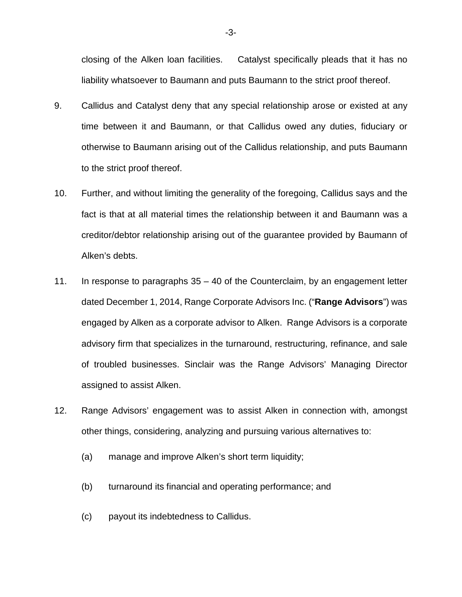closing of the Alken loan facilities. Catalyst specifically pleads that it has no liability whatsoever to Baumann and puts Baumann to the strict proof thereof.

- 9. Callidus and Catalyst deny that any special relationship arose or existed at any time between it and Baumann, or that Callidus owed any duties, fiduciary or otherwise to Baumann arising out of the Callidus relationship, and puts Baumann to the strict proof thereof.
- 10. Further, and without limiting the generality of the foregoing, Callidus says and the fact is that at all material times the relationship between it and Baumann was a creditor/debtor relationship arising out of the guarantee provided by Baumann of Alken's debts.
- 11. In response to paragraphs 35 40 of the Counterclaim, by an engagement letter dated December 1, 2014, Range Corporate Advisors Inc. ("**Range Advisors**") was engaged by Alken as a corporate advisor to Alken. Range Advisors is a corporate advisory firm that specializes in the turnaround, restructuring, refinance, and sale of troubled businesses. Sinclair was the Range Advisors' Managing Director assigned to assist Alken.
- 12. Range Advisors' engagement was to assist Alken in connection with, amongst other things, considering, analyzing and pursuing various alternatives to:
	- (a) manage and improve Alken's short term liquidity;
	- (b) turnaround its financial and operating performance; and
	- (c) payout its indebtedness to Callidus.

-3-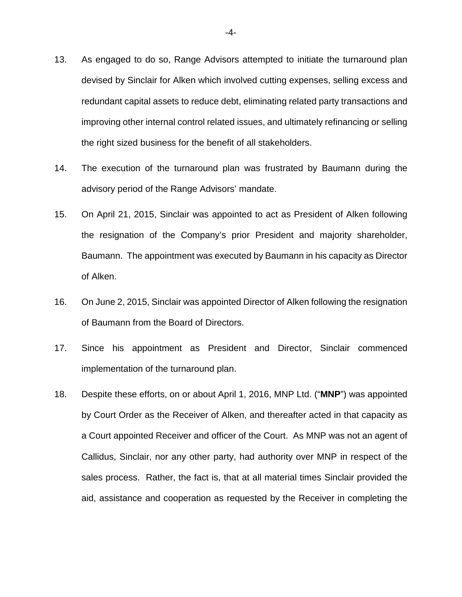- 13. As engaged to do so, Range Advisors attempted to initiate the turnaround plan devised by Sinclair for Alken which involved cutting expenses, selling excess and redundant capital assets to reduce debt, eliminating related party transactions and improving other internal control related issues, and ultimately refinancing or selling the right sized business for the benefit of all stakeholders.
- 14. The execution of the turnaround plan was frustrated by Baumann during the advisory period of the Range Advisors' mandate.
- 15. On April 21, 2015, Sinclair was appointed to act as President of Alken following the resignation of the Company's prior President and majority shareholder, Baumann. The appointment was executed by Baumann in his capacity as Director of Alken.
- 16. On June 2, 2015, Sinclair was appointed Director of Alken following the resignation of Baumann from the Board of Directors.
- 17. Since his appointment as President and Director, Sinclair commenced implementation of the turnaround plan.
- 18. Despite these efforts, on or about April 1, 2016, MNP Ltd. ("**MNP**") was appointed by Court Order as the Receiver of Alken, and thereafter acted in that capacity as a Court appointed Receiver and officer of the Court. As MNP was not an agent of Callidus, Sinclair, nor any other party, had authority over MNP in respect of the sales process. Rather, the fact is, that at all material times Sinclair provided the aid, assistance and cooperation as requested by the Receiver in completing the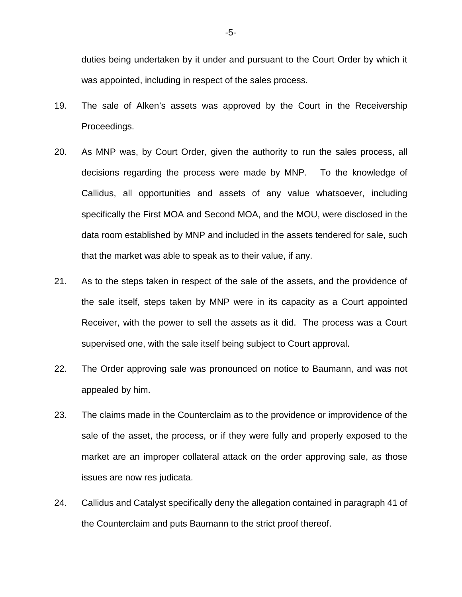duties being undertaken by it under and pursuant to the Court Order by which it was appointed, including in respect of the sales process.

- 19. The sale of Alken's assets was approved by the Court in the Receivership Proceedings.
- 20. As MNP was, by Court Order, given the authority to run the sales process, all decisions regarding the process were made by MNP. To the knowledge of Callidus, all opportunities and assets of any value whatsoever, including specifically the First MOA and Second MOA, and the MOU, were disclosed in the data room established by MNP and included in the assets tendered for sale, such that the market was able to speak as to their value, if any.
- 21. As to the steps taken in respect of the sale of the assets, and the providence of the sale itself, steps taken by MNP were in its capacity as a Court appointed Receiver, with the power to sell the assets as it did. The process was a Court supervised one, with the sale itself being subject to Court approval.
- 22. The Order approving sale was pronounced on notice to Baumann, and was not appealed by him.
- 23. The claims made in the Counterclaim as to the providence or improvidence of the sale of the asset, the process, or if they were fully and properly exposed to the market are an improper collateral attack on the order approving sale, as those issues are now res judicata.
- 24. Callidus and Catalyst specifically deny the allegation contained in paragraph 41 of the Counterclaim and puts Baumann to the strict proof thereof.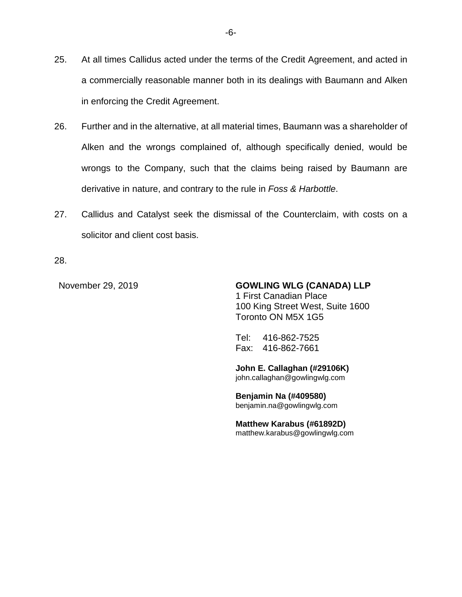- 25. At all times Callidus acted under the terms of the Credit Agreement, and acted in a commercially reasonable manner both in its dealings with Baumann and Alken in enforcing the Credit Agreement.
- 26. Further and in the alternative, at all material times, Baumann was a shareholder of Alken and the wrongs complained of, although specifically denied, would be wrongs to the Company, such that the claims being raised by Baumann are derivative in nature, and contrary to the rule in *Foss & Harbottle*.
- 27. Callidus and Catalyst seek the dismissal of the Counterclaim, with costs on a solicitor and client cost basis.

28.

November 29, 2019 **GOWLING WLG (CANADA) LLP**  1 First Canadian Place 100 King Street West, Suite 1600 Toronto ON M5X 1G5

> Tel: 416-862-7525 Fax: 416-862-7661

**John E. Callaghan (#29106K)**  john.callaghan@gowlingwlg.com

**Benjamin Na (#409580)**  benjamin.na@gowlingwlg.com

**Matthew Karabus (#61892D)**  matthew.karabus@gowlingwlg.com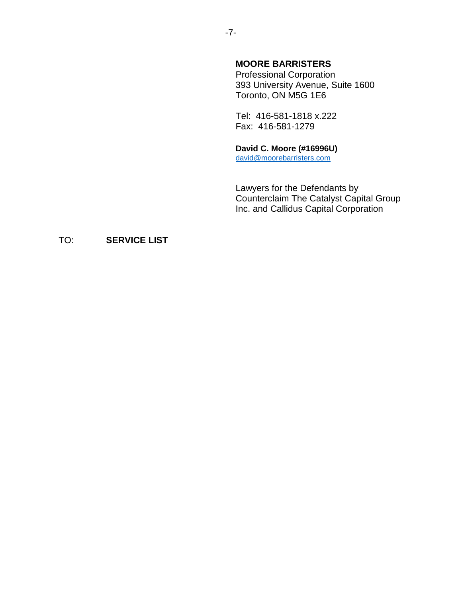# **MOORE BARRISTERS**

Professional Corporation 393 University Avenue, Suite 1600 Toronto, ON M5G 1E6

Tel: 416-581-1818 x.222 Fax: 416-581-1279

### **David C. Moore (#16996U)**

david@moorebarristers.com

Lawyers for the Defendants by Counterclaim The Catalyst Capital Group Inc. and Callidus Capital Corporation

# TO: **SERVICE LIST**